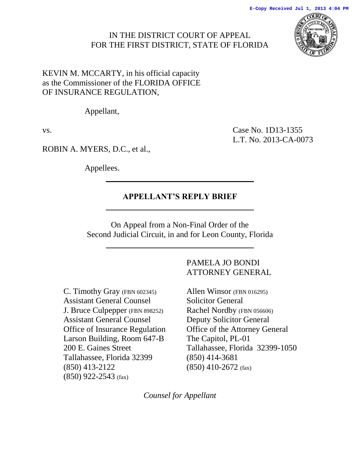## IN THE DISTRICT COURT OF APPEAL FOR THE FIRST DISTRICT, STATE OF FLORIDA



KEVIN M. MCCARTY, in his official capacity as the Commissioner of the FLORIDA OFFICE OF INSURANCE REGULATION*,* 

Appellant,

vs. Case No. 1D13-1355 L.T. No. 2013-CA-0073

ROBIN A. MYERS, D.C., et al.,

Appellees.

# **APPELLANT'S REPLY BRIEF**

On Appeal from a Non-Final Order of the Second Judicial Circuit, in and for Leon County, Florida

C. Timothy Gray (FBN 602345) Assistant General Counsel J. Bruce Culpepper (FBN 898252) Assistant General Counsel Office of Insurance Regulation Larson Building, Room 647-B 200 E. Gaines Street Tallahassee, Florida 32399 (850) 413-2122 (850) 922-2543 (fax)

## PAMELA JO BONDI ATTORNEY GENERAL

Allen Winsor (FBN 016295) Solicitor General Rachel Nordby (FBN 056606) Deputy Solicitor General Office of the Attorney General The Capitol, PL-01 Tallahassee, Florida 32399-1050 (850) 414-3681 (850) 410-2672 (fax)

*Counsel for Appellant*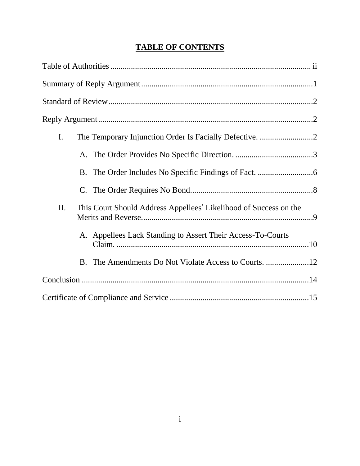# **TABLE OF CONTENTS**

| $\mathbf{I}$ .                                                           |
|--------------------------------------------------------------------------|
|                                                                          |
|                                                                          |
|                                                                          |
| II.<br>This Court Should Address Appellees' Likelihood of Success on the |
| A. Appellees Lack Standing to Assert Their Access-To-Courts              |
|                                                                          |
|                                                                          |
|                                                                          |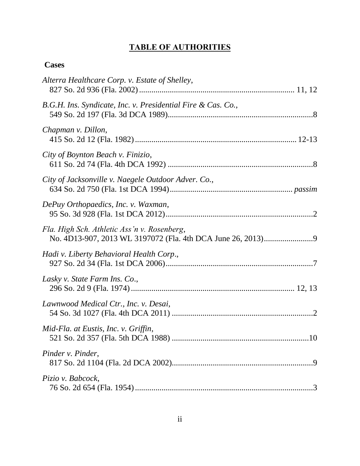# **TABLE OF AUTHORITIES**

## <span id="page-2-0"></span>**Cases**

| Alterra Healthcare Corp. v. Estate of Shelley,               |
|--------------------------------------------------------------|
| B.G.H. Ins. Syndicate, Inc. v. Presidential Fire & Cas. Co., |
| Chapman v. Dillon,                                           |
| City of Boynton Beach v. Finizio,                            |
| City of Jacksonville v. Naegele Outdoor Adver. Co.,          |
| DePuy Orthopaedics, Inc. v. Waxman,                          |
| Fla. High Sch. Athletic Ass'n v. Rosenberg,                  |
| Hadi v. Liberty Behavioral Health Corp.,                     |
| Lasky v. State Farm Ins. Co.,                                |
| Lawnwood Medical Ctr., Inc. v. Desai,                        |
| Mid-Fla. at Eustis, Inc. v. Griffin,                         |
| Pinder v. Pinder,                                            |
| Pizio v. Babcock,                                            |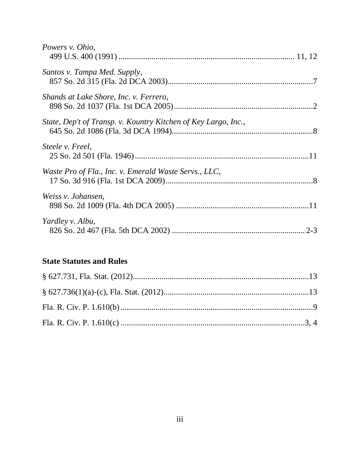| Powers v. Ohio,                                                |  |
|----------------------------------------------------------------|--|
| Santos v. Tampa Med. Supply,                                   |  |
| Shands at Lake Shore, Inc. v. Ferrero,                         |  |
| State, Dep't of Transp. v. Kountry Kitchen of Key Largo, Inc., |  |
| Steele v. Freel,                                               |  |
| Waste Pro of Fla., Inc. v. Emerald Waste Servs., LLC,          |  |
| Weiss v. Johansen,                                             |  |
| Yardley v. Albu,                                               |  |

# **State Statutes and Rules**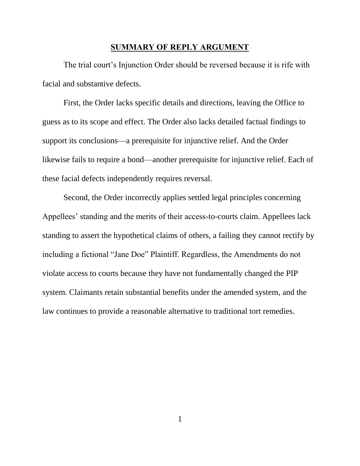#### **SUMMARY OF REPLY ARGUMENT**

<span id="page-4-0"></span>The trial court's Injunction Order should be reversed because it is rife with facial and substantive defects.

First, the Order lacks specific details and directions, leaving the Office to guess as to its scope and effect. The Order also lacks detailed factual findings to support its conclusions—a prerequisite for injunctive relief. And the Order likewise fails to require a bond—another prerequisite for injunctive relief. Each of these facial defects independently requires reversal.

Second, the Order incorrectly applies settled legal principles concerning Appellees' standing and the merits of their access-to-courts claim. Appellees lack standing to assert the hypothetical claims of others, a failing they cannot rectify by including a fictional "Jane Doe" Plaintiff. Regardless, the Amendments do not violate access to courts because they have not fundamentally changed the PIP system. Claimants retain substantial benefits under the amended system, and the law continues to provide a reasonable alternative to traditional tort remedies.

1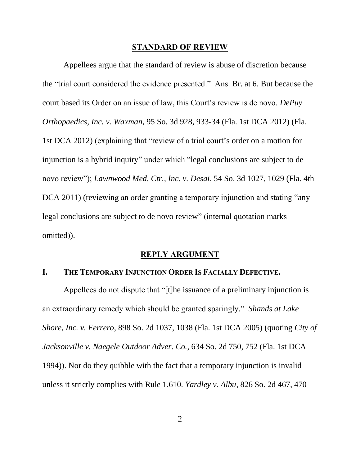#### **STANDARD OF REVIEW**

<span id="page-5-0"></span>Appellees argue that the standard of review is abuse of discretion because the "trial court considered the evidence presented." Ans. Br. at 6. But because the court based its Order on an issue of law, this Court's review is de novo. *DePuy Orthopaedics, Inc. v. Waxman*, 95 So. 3d 928, 933-34 (Fla. 1st DCA 2012) (Fla. 1st DCA 2012) (explaining that "review of a trial court's order on a motion for injunction is a hybrid inquiry" under which "legal conclusions are subject to de novo review"); *Lawnwood Med. Ctr., Inc. v. Desai*, 54 So. 3d 1027, 1029 (Fla. 4th DCA 2011) (reviewing an order granting a temporary injunction and stating "any legal conclusions are subject to de novo review" (internal quotation marks omitted)).

### **REPLY ARGUMENT**

### <span id="page-5-2"></span><span id="page-5-1"></span>**I. THE TEMPORARY INJUNCTION ORDER IS FACIALLY DEFECTIVE.**

Appellees do not dispute that "[t]he issuance of a preliminary injunction is an extraordinary remedy which should be granted sparingly." *Shands at Lake Shore, Inc. v. Ferrero*, 898 So. 2d 1037, 1038 (Fla. 1st DCA 2005) (quoting *City of Jacksonville v. Naegele Outdoor Adver. Co.*, 634 So. 2d 750, 752 (Fla. 1st DCA 1994)). Nor do they quibble with the fact that a temporary injunction is invalid unless it strictly complies with Rule 1.610. *Yardley v. Albu*, 826 So. 2d 467, 470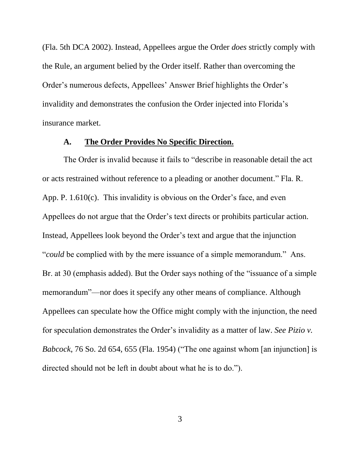(Fla. 5th DCA 2002). Instead, Appellees argue the Order *does* strictly comply with the Rule, an argument belied by the Order itself. Rather than overcoming the Order's numerous defects, Appellees' Answer Brief highlights the Order's invalidity and demonstrates the confusion the Order injected into Florida's insurance market.

#### **A. The Order Provides No Specific Direction.**

<span id="page-6-0"></span>The Order is invalid because it fails to "describe in reasonable detail the act or acts restrained without reference to a pleading or another document." Fla. R. App. P. 1.610(c). This invalidity is obvious on the Order's face, and even Appellees do not argue that the Order's text directs or prohibits particular action. Instead, Appellees look beyond the Order's text and argue that the injunction "*could* be complied with by the mere issuance of a simple memorandum." Ans. Br. at 30 (emphasis added). But the Order says nothing of the "issuance of a simple memorandum"—nor does it specify any other means of compliance. Although Appellees can speculate how the Office might comply with the injunction, the need for speculation demonstrates the Order's invalidity as a matter of law. *See Pizio v. Babcock*, 76 So. 2d 654, 655 (Fla. 1954) ("The one against whom [an injunction] is directed should not be left in doubt about what he is to do.").

3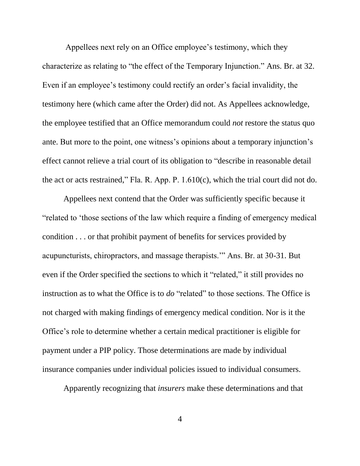Appellees next rely on an Office employee's testimony, which they characterize as relating to "the effect of the Temporary Injunction." Ans. Br. at 32. Even if an employee's testimony could rectify an order's facial invalidity, the testimony here (which came after the Order) did not. As Appellees acknowledge, the employee testified that an Office memorandum could *not* restore the status quo ante. But more to the point, one witness's opinions about a temporary injunction's effect cannot relieve a trial court of its obligation to "describe in reasonable detail the act or acts restrained," Fla. R. App. P. 1.610(c), which the trial court did not do.

Appellees next contend that the Order was sufficiently specific because it "related to 'those sections of the law which require a finding of emergency medical condition . . . or that prohibit payment of benefits for services provided by acupuncturists, chiropractors, and massage therapists.'" Ans. Br. at 30-31. But even if the Order specified the sections to which it "related," it still provides no instruction as to what the Office is to *do* "related" to those sections. The Office is not charged with making findings of emergency medical condition. Nor is it the Office's role to determine whether a certain medical practitioner is eligible for payment under a PIP policy. Those determinations are made by individual insurance companies under individual policies issued to individual consumers.

Apparently recognizing that *insurers* make these determinations and that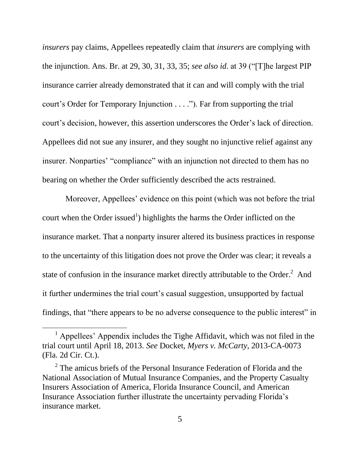*insurers* pay claims, Appellees repeatedly claim that *insurers* are complying with the injunction. Ans. Br. at 29, 30, 31, 33, 35; *see also id*. at 39 ("[T]he largest PIP insurance carrier already demonstrated that it can and will comply with the trial court's Order for Temporary Injunction . . . ."). Far from supporting the trial court's decision, however, this assertion underscores the Order's lack of direction. Appellees did not sue any insurer, and they sought no injunctive relief against any insurer. Nonparties' "compliance" with an injunction not directed to them has no bearing on whether the Order sufficiently described the acts restrained.

Moreover, Appellees' evidence on this point (which was not before the trial court when the Order issued<sup>1</sup>) highlights the harms the Order inflicted on the insurance market. That a nonparty insurer altered its business practices in response to the uncertainty of this litigation does not prove the Order was clear; it reveals a state of confusion in the insurance market directly attributable to the Order. $^2$  And it further undermines the trial court's casual suggestion, unsupported by factual findings, that "there appears to be no adverse consequence to the public interest" in

 $\overline{a}$ 

<sup>&</sup>lt;sup>1</sup> Appellees' Appendix includes the Tighe Affidavit, which was not filed in the trial court until April 18, 2013. *See* Docket, *Myers v. McCarty*, 2013-CA-0073 (Fla. 2d Cir. Ct.).

 $2^2$  The amicus briefs of the Personal Insurance Federation of Florida and the National Association of Mutual Insurance Companies, and the Property Casualty Insurers Association of America, Florida Insurance Council, and American Insurance Association further illustrate the uncertainty pervading Florida's insurance market.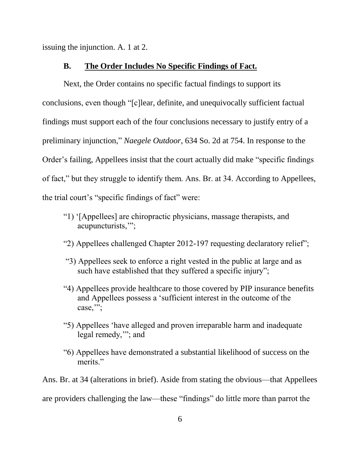<span id="page-9-0"></span>issuing the injunction. A. 1 at 2.

#### **B. The Order Includes No Specific Findings of Fact.**

Next, the Order contains no specific factual findings to support its conclusions, even though "[c]lear, definite, and unequivocally sufficient factual findings must support each of the four conclusions necessary to justify entry of a preliminary injunction," *Naegele Outdoor,* 634 So. 2d at 754. In response to the Order's failing, Appellees insist that the court actually did make "specific findings of fact," but they struggle to identify them. Ans. Br. at 34. According to Appellees, the trial court's "specific findings of fact" were:

- "1) '[Appellees] are chiropractic physicians, massage therapists, and acupuncturists,'";
- "2) Appellees challenged Chapter 2012-197 requesting declaratory relief";
- "3) Appellees seek to enforce a right vested in the public at large and as such have established that they suffered a specific injury";
- "4) Appellees provide healthcare to those covered by PIP insurance benefits and Appellees possess a 'sufficient interest in the outcome of the case,";
- "5) Appellees 'have alleged and proven irreparable harm and inadequate legal remedy,'"; and
- "6) Appellees have demonstrated a substantial likelihood of success on the merits."

Ans. Br. at 34 (alterations in brief). Aside from stating the obvious—that Appellees are providers challenging the law—these "findings" do little more than parrot the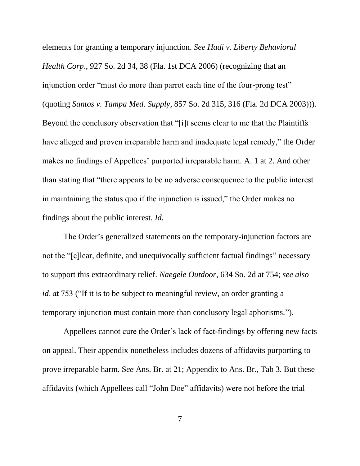elements for granting a temporary injunction. *See Hadi v. Liberty Behavioral Health Corp*., 927 So. 2d 34, 38 (Fla. 1st DCA 2006) (recognizing that an injunction order "must do more than parrot each tine of the four-prong test" (quoting *Santos v. Tampa Med. Supply*, 857 So. 2d 315, 316 (Fla. 2d DCA 2003))). Beyond the conclusory observation that "[i]t seems clear to me that the Plaintiffs have alleged and proven irreparable harm and inadequate legal remedy," the Order makes no findings of Appellees' purported irreparable harm. A. 1 at 2. And other than stating that "there appears to be no adverse consequence to the public interest in maintaining the status quo if the injunction is issued," the Order makes no findings about the public interest. *Id.* 

The Order's generalized statements on the temporary-injunction factors are not the "[c]lear, definite, and unequivocally sufficient factual findings" necessary to support this extraordinary relief. *Naegele Outdoor,* 634 So. 2d at 754; *see also id*. at 753 ("If it is to be subject to meaningful review, an order granting a temporary injunction must contain more than conclusory legal aphorisms.").

Appellees cannot cure the Order's lack of fact-findings by offering new facts on appeal. Their appendix nonetheless includes dozens of affidavits purporting to prove irreparable harm. S*ee* Ans. Br. at 21; Appendix to Ans. Br., Tab 3. But these affidavits (which Appellees call "John Doe" affidavits) were not before the trial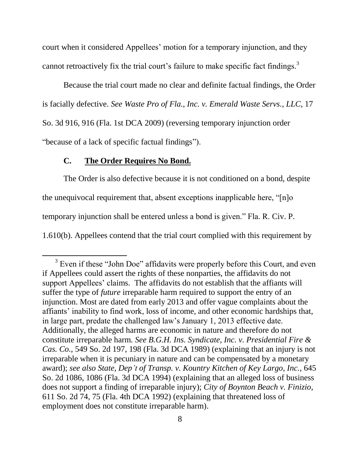court when it considered Appellees' motion for a temporary injunction, and they cannot retroactively fix the trial court's failure to make specific fact findings.<sup>3</sup>

Because the trial court made no clear and definite factual findings, the Order is facially defective. *See Waste Pro of Fla., Inc. v. Emerald Waste Servs., LLC*, 17 So. 3d 916, 916 (Fla. 1st DCA 2009) (reversing temporary injunction order "because of a lack of specific factual findings").

### **C. The Order Requires No Bond.**

 $\overline{a}$ 

<span id="page-11-0"></span>The Order is also defective because it is not conditioned on a bond, despite the unequivocal requirement that, absent exceptions inapplicable here, "[n]o temporary injunction shall be entered unless a bond is given." Fla. R. Civ. P. 1.610(b). Appellees contend that the trial court complied with this requirement by

 $3$  Even if these "John Doe" affidavits were properly before this Court, and even if Appellees could assert the rights of these nonparties, the affidavits do not support Appellees' claims. The affidavits do not establish that the affiants will suffer the type of *future* irreparable harm required to support the entry of an injunction. Most are dated from early 2013 and offer vague complaints about the affiants' inability to find work, loss of income, and other economic hardships that, in large part, predate the challenged law's January 1, 2013 effective date. Additionally, the alleged harms are economic in nature and therefore do not constitute irreparable harm. *See B.G.H. Ins. Syndicate, Inc. v. Presidential Fire & Cas. Co.*, 549 So. 2d 197, 198 (Fla. 3d DCA 1989) (explaining that an injury is not irreparable when it is pecuniary in nature and can be compensated by a monetary award); *see also State, Dep't of Transp. v. Kountry Kitchen of Key Largo, Inc.*, 645 So. 2d 1086, 1086 (Fla. 3d DCA 1994) (explaining that an alleged loss of business does not support a finding of irreparable injury); *City of Boynton Beach v. Finizio*, 611 So. 2d 74, 75 (Fla. 4th DCA 1992) (explaining that threatened loss of employment does not constitute irreparable harm).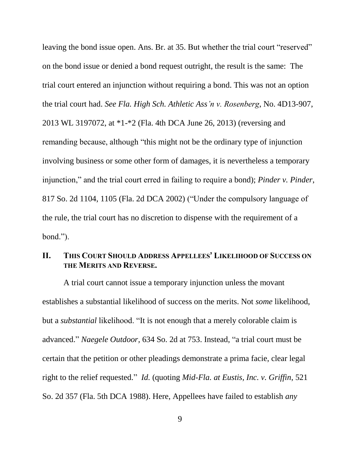leaving the bond issue open. Ans. Br. at 35. But whether the trial court "reserved" on the bond issue or denied a bond request outright, the result is the same: The trial court entered an injunction without requiring a bond. This was not an option the trial court had. *See Fla. High Sch. Athletic Ass'n v. Rosenberg*, No. 4D13-907, 2013 WL 3197072, at \*1-\*2 (Fla. 4th DCA June 26, 2013) (reversing and remanding because, although "this might not be the ordinary type of injunction involving business or some other form of damages, it is nevertheless a temporary injunction," and the trial court erred in failing to require a bond); *Pinder v. Pinder*, 817 So. 2d 1104, 1105 (Fla. 2d DCA 2002) ("Under the compulsory language of the rule, the trial court has no discretion to dispense with the requirement of a bond.").

## <span id="page-12-0"></span>**II. THIS COURT SHOULD ADDRESS APPELLEES' LIKELIHOOD OF SUCCESS ON THE MERITS AND REVERSE.**

A trial court cannot issue a temporary injunction unless the movant establishes a substantial likelihood of success on the merits. Not *some* likelihood, but a *substantial* likelihood. "It is not enough that a merely colorable claim is advanced." *Naegele Outdoor,* 634 So. 2d at 753. Instead, "a trial court must be certain that the petition or other pleadings demonstrate a prima facie, clear legal right to the relief requested." *Id.* (quoting *Mid-Fla. at Eustis, Inc. v. Griffin*, 521 So. 2d 357 (Fla. 5th DCA 1988). Here, Appellees have failed to establish *any*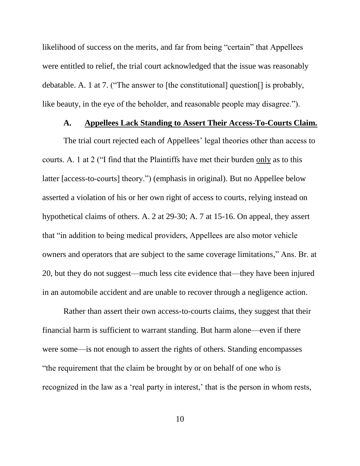likelihood of success on the merits, and far from being "certain" that Appellees were entitled to relief, the trial court acknowledged that the issue was reasonably debatable. A. 1 at 7. ("The answer to [the constitutional] question[] is probably, like beauty, in the eye of the beholder, and reasonable people may disagree.").

# **A. Appellees Lack Standing to Assert Their Access-To-Courts Claim.**

<span id="page-13-0"></span>The trial court rejected each of Appellees' legal theories other than access to courts. A. 1 at 2 ("I find that the Plaintiffs have met their burden only as to this latter [access-to-courts] theory.") (emphasis in original). But no Appellee below asserted a violation of his or her own right of access to courts, relying instead on hypothetical claims of others. A. 2 at 29-30; A. 7 at 15-16. On appeal, they assert that "in addition to being medical providers, Appellees are also motor vehicle owners and operators that are subject to the same coverage limitations," Ans. Br. at 20, but they do not suggest—much less cite evidence that—they have been injured in an automobile accident and are unable to recover through a negligence action.

Rather than assert their own access-to-courts claims, they suggest that their financial harm is sufficient to warrant standing. But harm alone—even if there were some—is not enough to assert the rights of others. Standing encompasses "the requirement that the claim be brought by or on behalf of one who is recognized in the law as a 'real party in interest,' that is the person in whom rests,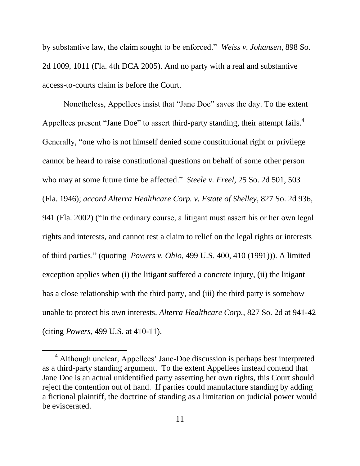by substantive law, the claim sought to be enforced." *Weiss v. Johansen*, 898 So. 2d 1009, 1011 (Fla. 4th DCA 2005). And no party with a real and substantive access-to-courts claim is before the Court.

Nonetheless, Appellees insist that "Jane Doe" saves the day. To the extent Appellees present "Jane Doe" to assert third-party standing, their attempt fails. $4$ Generally, "one who is not himself denied some constitutional right or privilege cannot be heard to raise constitutional questions on behalf of some other person who may at some future time be affected." *Steele v. Freel*, 25 So. 2d 501, 503 (Fla. 1946); *accord Alterra Healthcare Corp. v. Estate of Shelley*, 827 So. 2d 936, 941 (Fla. 2002) ("In the ordinary course, a litigant must assert his or her own legal rights and interests, and cannot rest a claim to relief on the legal rights or interests of third parties." (quoting *Powers v. Ohio*, 499 U.S. 400, 410 (1991))). A limited exception applies when (i) the litigant suffered a concrete injury, (ii) the litigant has a close relationship with the third party, and (iii) the third party is somehow unable to protect his own interests. *Alterra Healthcare Corp.*, 827 So. 2d at 941-42 (citing *Powers*, 499 U.S. at 410-11).

 $\overline{a}$ 

<sup>4</sup> Although unclear, Appellees' Jane-Doe discussion is perhaps best interpreted as a third-party standing argument. To the extent Appellees instead contend that Jane Doe is an actual unidentified party asserting her own rights, this Court should reject the contention out of hand. If parties could manufacture standing by adding a fictional plaintiff, the doctrine of standing as a limitation on judicial power would be eviscerated.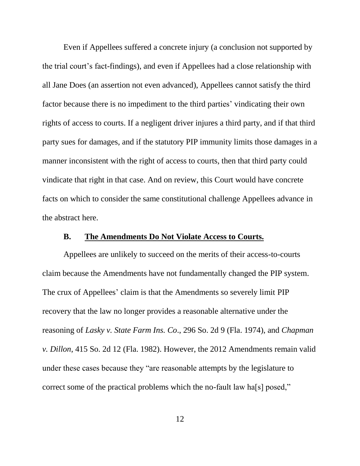Even if Appellees suffered a concrete injury (a conclusion not supported by the trial court's fact-findings), and even if Appellees had a close relationship with all Jane Does (an assertion not even advanced), Appellees cannot satisfy the third factor because there is no impediment to the third parties' vindicating their own rights of access to courts. If a negligent driver injures a third party, and if that third party sues for damages, and if the statutory PIP immunity limits those damages in a manner inconsistent with the right of access to courts, then that third party could vindicate that right in that case. And on review, this Court would have concrete facts on which to consider the same constitutional challenge Appellees advance in the abstract here.

#### **B. The Amendments Do Not Violate Access to Courts.**

<span id="page-15-0"></span>Appellees are unlikely to succeed on the merits of their access-to-courts claim because the Amendments have not fundamentally changed the PIP system. The crux of Appellees' claim is that the Amendments so severely limit PIP recovery that the law no longer provides a reasonable alternative under the reasoning of *Lasky v. State Farm Ins. Co*., 296 So. 2d 9 (Fla. 1974), and *Chapman v. Dillon*, 415 So. 2d 12 (Fla. 1982). However, the 2012 Amendments remain valid under these cases because they "are reasonable attempts by the legislature to correct some of the practical problems which the no-fault law ha[s] posed,"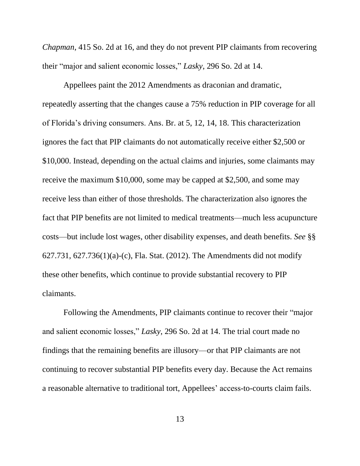*Chapman*, 415 So. 2d at 16, and they do not prevent PIP claimants from recovering their "major and salient economic losses," *Lasky*, 296 So. 2d at 14.

Appellees paint the 2012 Amendments as draconian and dramatic, repeatedly asserting that the changes cause a 75% reduction in PIP coverage for all of Florida's driving consumers. Ans. Br. at 5, 12, 14, 18. This characterization ignores the fact that PIP claimants do not automatically receive either \$2,500 or \$10,000. Instead, depending on the actual claims and injuries, some claimants may receive the maximum \$10,000, some may be capped at \$2,500, and some may receive less than either of those thresholds. The characterization also ignores the fact that PIP benefits are not limited to medical treatments—much less acupuncture costs—but include lost wages, other disability expenses, and death benefits. *See* §§ 627.731, 627.736(1)(a)-(c), Fla. Stat. (2012). The Amendments did not modify these other benefits, which continue to provide substantial recovery to PIP claimants.

Following the Amendments, PIP claimants continue to recover their "major and salient economic losses," *Lasky*, 296 So. 2d at 14. The trial court made no findings that the remaining benefits are illusory—or that PIP claimants are not continuing to recover substantial PIP benefits every day. Because the Act remains a reasonable alternative to traditional tort, Appellees' access-to-courts claim fails.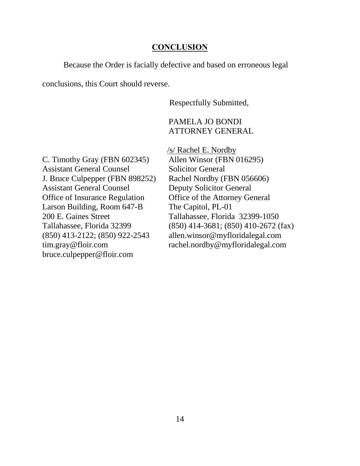#### **CONCLUSION**

<span id="page-17-0"></span>Because the Order is facially defective and based on erroneous legal

conclusions, this Court should reverse.

Respectfully Submitted,

### PAMELA JO BONDI ATTORNEY GENERAL

C. Timothy Gray (FBN 602345) Assistant General Counsel J. Bruce Culpepper (FBN 898252) Assistant General Counsel Office of Insurance Regulation Larson Building, Room 647-B 200 E. Gaines Street Tallahassee, Florida 32399 (850) 413-2122; (850) 922-2543 tim.gray@floir.com bruce.culpepper@floir.com

/s/ Rachel E. Nordby Allen Winsor (FBN 016295) Solicitor General Rachel Nordby (FBN 056606) Deputy Solicitor General Office of the Attorney General The Capitol, PL-01 Tallahassee, Florida 32399-1050 (850) 414-3681; (850) 410-2672 (fax) allen.winsor@myfloridalegal.com rachel.nordby@myfloridalegal.com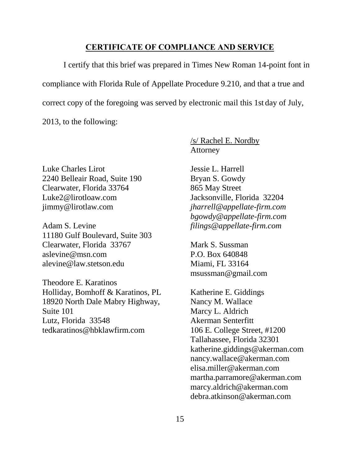#### **CERTIFICATE OF COMPLIANCE AND SERVICE**

<span id="page-18-0"></span>I certify that this brief was prepared in Times New Roman 14-point font in compliance with Florida Rule of Appellate Procedure 9.210, and that a true and correct copy of the foregoing was served by electronic mail this 1st day of July,

2013, to the following:

Luke Charles Lirot 2240 Belleair Road, Suite 190 Clearwater, Florida 33764 Luke2@lirotloaw.com jimmy@lirotlaw.com

Adam S. Levine 11180 Gulf Boulevard, Suite 303 Clearwater, Florida 33767 aslevine@msn.com alevine@law.stetson.edu

Theodore E. Karatinos Holliday, Bomhoff & Karatinos, PL 18920 North Dale Mabry Highway, Suite 101 Lutz, Florida 33548 tedkaratinos@hbklawfirm.com

/s/ Rachel E. Nordby Attorney

Jessie L. Harrell Bryan S. Gowdy 865 May Street Jacksonville, Florida 32204 *jharrell@appellate-firm.com bgowdy@appellate-firm.com filings@appellate-firm.com*

Mark S. Sussman P.O. Box 640848 Miami, FL 33164 msussman@gmail.com

Katherine E. Giddings Nancy M. Wallace Marcy L. Aldrich Akerman Senterfitt 106 E. College Street, #1200 Tallahassee, Florida 32301 katherine.giddings@akerman.com nancy.wallace@akerman.com elisa.miller@akerman.com martha.parramore@akerman.com marcy.aldrich@akerman.com debra.atkinson@akerman.com